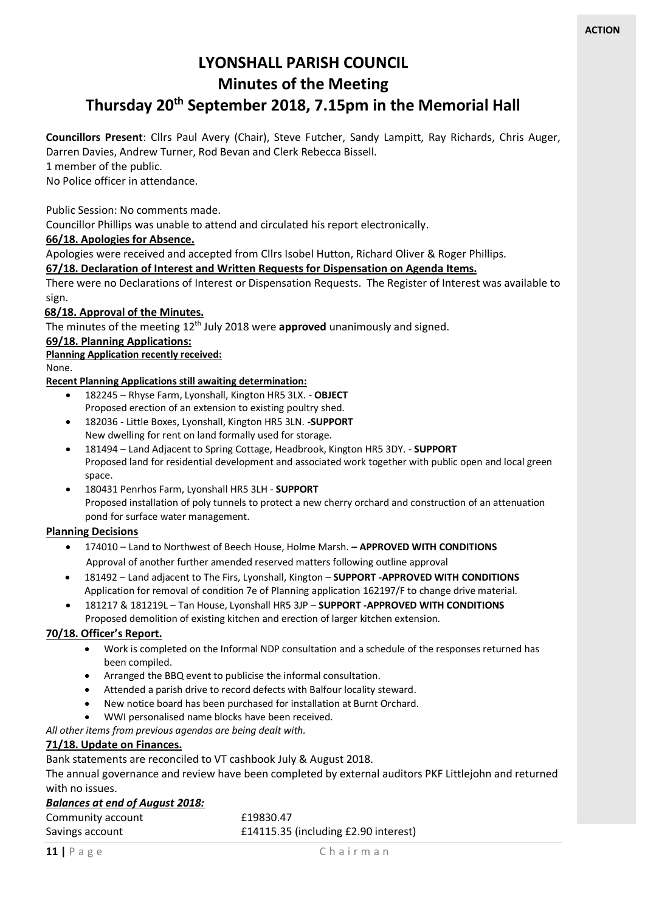# **LYONSHALL PARISH COUNCIL Minutes of the Meeting**

## **Thursday 20th September 2018, 7.15pm in the Memorial Hall**

**Councillors Present**: Cllrs Paul Avery (Chair), Steve Futcher, Sandy Lampitt, Ray Richards, Chris Auger, Darren Davies, Andrew Turner, Rod Bevan and Clerk Rebecca Bissell.

1 member of the public.

No Police officer in attendance.

Public Session: No comments made.

Councillor Phillips was unable to attend and circulated his report electronically.

#### **66/18. Apologies for Absence.**

Apologies were received and accepted from Cllrs Isobel Hutton, Richard Oliver & Roger Phillips.

#### **67/18. Declaration of Interest and Written Requests for Dispensation on Agenda Items.**

There were no Declarations of Interest or Dispensation Requests. The Register of Interest was available to sign.

#### **68/18. Approval of the Minutes.**

The minutes of the meeting 12th July 2018 were **approved** unanimously and signed.

#### **69/18. Planning Applications:**

**Planning Application recently received:**

None.

#### **Recent Planning Applications still awaiting determination:**

- 182245 Rhyse Farm, Lyonshall, Kington HR5 3LX. **OBJECT** Proposed erection of an extension to existing poultry shed.
- 182036 Little Boxes, Lyonshall, Kington HR5 3LN. **-SUPPORT** New dwelling for rent on land formally used for storage.
- 181494 Land Adjacent to Spring Cottage, Headbrook, Kington HR5 3DY. **SUPPORT** Proposed land for residential development and associated work together with public open and local green space.
- 180431 Penrhos Farm, Lyonshall HR5 3LH **SUPPORT** Proposed installation of poly tunnels to protect a new cherry orchard and construction of an attenuation pond for surface water management.

#### **Planning Decisions**

- 174010 Land to Northwest of Beech House, Holme Marsh. **– APPROVED WITH CONDITIONS** Approval of another further amended reserved matters following outline approval
- 181492 Land adjacent to The Firs, Lyonshall, Kington **SUPPORT -APPROVED WITH CONDITIONS** Application for removal of condition 7e of Planning application 162197/F to change drive material.
- 181217 & 181219L Tan House, Lyonshall HR5 3JP **SUPPORT -APPROVED WITH CONDITIONS** Proposed demolition of existing kitchen and erection of larger kitchen extension.

#### **70/18. Officer's Report.**

- Work is completed on the Informal NDP consultation and a schedule of the responses returned has been compiled.
- Arranged the BBQ event to publicise the informal consultation.
- Attended a parish drive to record defects with Balfour locality steward.
- New notice board has been purchased for installation at Burnt Orchard.
- WWI personalised name blocks have been received.

*All other items from previous agendas are being dealt with.* 

#### **71/18. Update on Finances.**

Bank statements are reconciled to VT cashbook July & August 2018.

The annual governance and review have been completed by external auditors PKF Littlejohn and returned with no issues.

#### *Balances at end of August 2018:*

| Community account | £19830.47                            |
|-------------------|--------------------------------------|
| Savings account   | £14115.35 (including £2.90 interest) |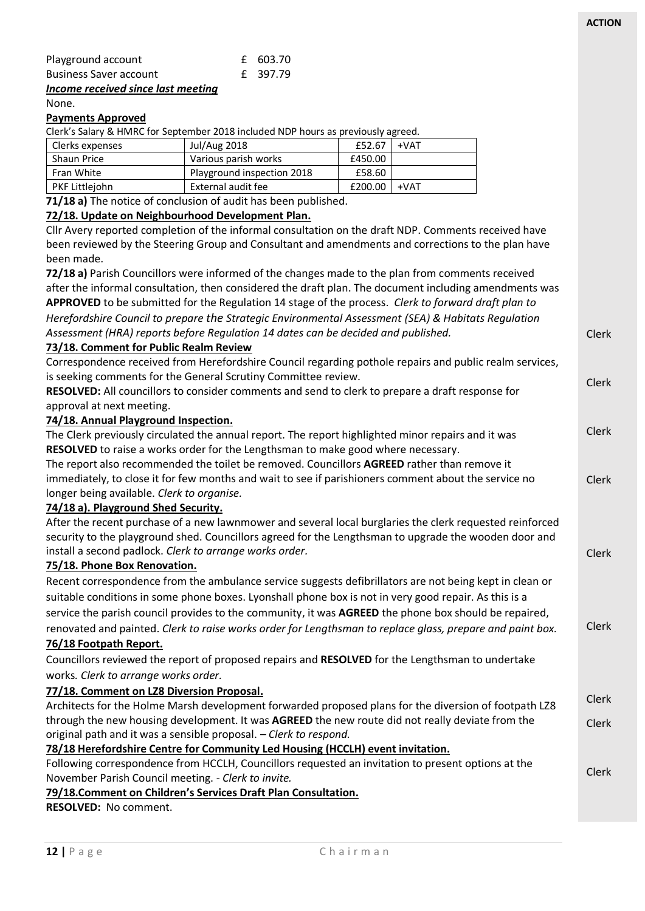| Incomo rocojuod cinco last mooting |          |
|------------------------------------|----------|
| <b>Business Saver account</b>      | £ 397.79 |
| Playground account                 | £ 603.70 |
|                                    |          |

#### *Income received since last meeting* None.

#### **Payments Approved**

Clerk's Salary & HMRC for September 2018 included NDP hours as previously agreed.

| Clerks expenses       | <b>Jul/Aug 2018</b>        | £52.67  | +VAT |
|-----------------------|----------------------------|---------|------|
| <b>Shaun Price</b>    | Various parish works       | £450.00 |      |
| Fran White            | Playground inspection 2018 | £58.60  |      |
| <b>PKF Littleiohn</b> | External audit fee         | £200.00 | +VAT |

**71/18 a)** The notice of conclusion of audit has been published.

#### **72/18. Update on Neighbourhood Development Plan.**

Cllr Avery reported completion of the informal consultation on the draft NDP. Comments received have been reviewed by the Steering Group and Consultant and amendments and corrections to the plan have

Clerk Clerk Clerk Clerk Clerk Clerk Clerk Clerk Clerk been made. **72/18 a)** Parish Councillors were informed of the changes made to the plan from comments received after the informal consultation, then considered the draft plan. The document including amendments was **APPROVED** to be submitted for the Regulation 14 stage of the process. *Clerk to forward draft plan to Herefordshire Council to prepare the Strategic Environmental Assessment (SEA) & Habitats Regulation Assessment (HRA) reports before Regulation 14 dates can be decided and published.* **73/18. Comment for Public Realm Review** Correspondence received from Herefordshire Council regarding pothole repairs and public realm services, is seeking comments for the General Scrutiny Committee review. **RESOLVED:** All councillors to consider comments and send to clerk to prepare a draft response for approval at next meeting. **74/18. Annual Playground Inspection.** The Clerk previously circulated the annual report. The report highlighted minor repairs and it was **RESOLVED** to raise a works order for the Lengthsman to make good where necessary. The report also recommended the toilet be removed. Councillors **AGREED** rather than remove it immediately, to close it for few months and wait to see if parishioners comment about the service no longer being available. *Clerk to organise.* **74/18 a). Playground Shed Security.** After the recent purchase of a new lawnmower and several local burglaries the clerk requested reinforced security to the playground shed. Councillors agreed for the Lengthsman to upgrade the wooden door and install a second padlock. *Clerk to arrange works order.* **75/18. Phone Box Renovation.** Recent correspondence from the ambulance service suggests defibrillators are not being kept in clean or suitable conditions in some phone boxes. Lyonshall phone box is not in very good repair. As this is a service the parish council provides to the community, it was **AGREED** the phone box should be repaired, renovated and painted. *Clerk to raise works order for Lengthsman to replace glass, prepare and paint box.* **76/18 Footpath Report.** Councillors reviewed the report of proposed repairs and **RESOLVED** for the Lengthsman to undertake works*. Clerk to arrange works order.* **77/18. Comment on LZ8 Diversion Proposal.** Architects for the Holme Marsh development forwarded proposed plans for the diversion of footpath LZ8 through the new housing development. It was **AGREED** the new route did not really deviate from the original path and it was a sensible proposal. *– Clerk to respond.* **78/18 Herefordshire Centre for Community Led Housing (HCCLH) event invitation.** Following correspondence from HCCLH, Councillors requested an invitation to present options at the November Parish Council meeting. - *Clerk to invite.*

#### **79/18.Comment on Children's Services Draft Plan Consultation.**

**RESOLVED:** No comment.